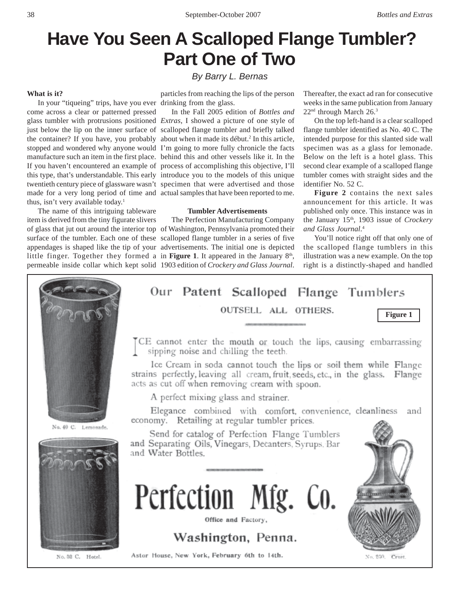# **Have You Seen A Scalloped Flange Tumbler? Part One of Two**

# **What is it?**

come across a clear or patterned pressed thus, isn't very available today.<sup>1</sup>

The name of this intriguing tableware item is derived from the tiny figurate slivers *By Barry L. Bernas*

particles from reaching the lips of the person

just below the lip on the inner surface of scalloped flange tumbler and briefly talked the container? If you have, you probably about when it made its début.<sup>2</sup> In this article, stopped and wondered why anyone would I'm going to more fully chronicle the facts manufacture such an item in the first place. behind this and other vessels like it. In the If you haven't encountered an example of process of accomplishing this objective, I'll this type, that's understandable. This early introduce you to the models of this unique twentieth century piece of glassware wasn't specimen that were advertised and those made for a very long period of time and actual samples that have been reported to me. In the Fall 2005 edition of *Bottles and*

# **Tumbler Advertisements**

of glass that jut out around the interior top of Washington, Pennsylvania promoted their surface of the tumbler. Each one of these scalloped flange tumbler in a series of five appendages is shaped like the tip of your advertisements. The initial one is depicted little finger. Together they formed a in **Figure 1**. It appeared in the January  $8<sup>th</sup>$ , permeable inside collar which kept solid 1903 edition of *Crockery and Glass Journal*. The Perfection Manufacturing Company

Thereafter, the exact ad ran for consecutive weeks in the same publication from January 22nd through March 26.3

On the top left-hand is a clear scalloped flange tumbler identified as No. 40 C. The intended purpose for this slanted side wall specimen was as a glass for lemonade. Below on the left is a hotel glass. This second clear example of a scalloped flange tumbler comes with straight sides and the identifier No. 52 C.

**Figure 2** contains the next sales announcement for this article. It was published only once. This instance was in the January 15<sup>th</sup>, 1903 issue of *Crockery and Glass Journal*. 4

You'll notice right off that only one of the scalloped flange tumblers in this illustration was a new example. On the top right is a distinctly-shaped and handled



In your "tiqueing" trips, have you ever drinking from the glass. glass tumbler with protrusions positioned *Extras*, I showed a picture of one style of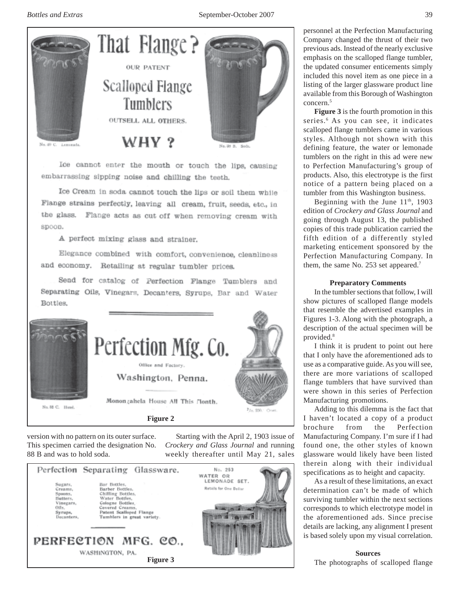

Ice cannot enter the mouth or touch the lips, causing embarrassing sipping noise and chilling the teeth.

Ice Cream in soda cannot touch the lips or soil them while Flange strains perfectly, leaving all cream, fruit, seeds, etc., in the glass. Flange acts as cut off when removing cream with spoon.

A perfect mixing glass and strainer.

Elegance combined with comfort, convenience, cleanliness and economy. Retailing at regular tumbler prices.

Send for catalog of Perfection Flange Tumblers and Separating Oils, Vinegars, Decanters, Syrups, Bar and Water Bottles,



version with no pattern on its outer surface. This specimen carried the designation No. 88 B and was to hold soda.

Starting with the April 2, 1903 issue of *Crockery and Glass Journal* and running weekly thereafter until May 21, sales



personnel at the Perfection Manufacturing Company changed the thrust of their two previous ads. Instead of the nearly exclusive emphasis on the scalloped flange tumbler, the updated consumer enticements simply included this novel item as one piece in a listing of the larger glassware product line available from this Borough of Washington concern.5

**Figure 3** is the fourth promotion in this series.<sup>6</sup> As you can see, it indicates scalloped flange tumblers came in various styles. Although not shown with this defining feature, the water or lemonade tumblers on the right in this ad were new to Perfection Manufacturing's group of products. Also, this electrotype is the first notice of a pattern being placed on a tumbler from this Washington business.

Beginning with the June  $11<sup>th</sup>$ , 1903 edition of *Crockery and Glass Journal* and going through August 13, the published copies of this trade publication carried the fifth edition of a differently styled marketing enticement sponsored by the Perfection Manufacturing Company. In them, the same No. 253 set appeared.<sup>7</sup>

# **Preparatory Comments**

In the tumbler sections that follow, I will show pictures of scalloped flange models that resemble the advertised examples in Figures 1-3. Along with the photograph, a description of the actual specimen will be provided.<sup>8</sup>

I think it is prudent to point out here that I only have the aforementioned ads to use as a comparative guide. As you will see, there are more variations of scalloped flange tumblers that have survived than were shown in this series of Perfection Manufacturing promotions.

Adding to this dilemma is the fact that I haven't located a copy of a product brochure from the Perfection Manufacturing Company. I'm sure if I had found one, the other styles of known glassware would likely have been listed therein along with their individual specifications as to height and capacity.

As a result of these limitations, an exact determination can't be made of which surviving tumbler within the next sections corresponds to which electrotype model in the aforementioned ads. Since precise details are lacking, any alignment I present is based solely upon my visual correlation.

# **Sources**

The photographs of scalloped flange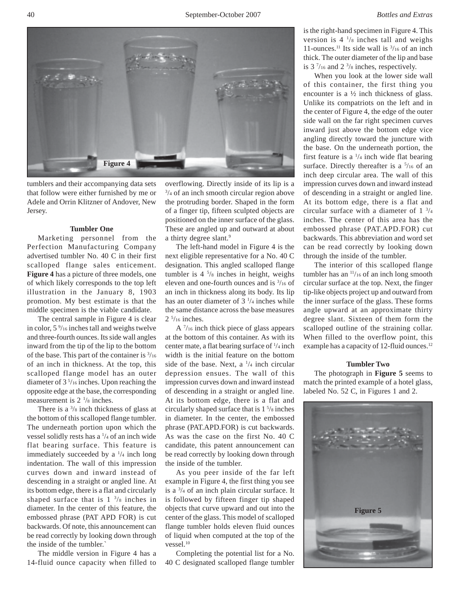

tumblers and their accompanying data sets that follow were either furnished by me or Adele and Orrin Klitzner of Andover, New Jersey.

#### **Tumbler One**

Marketing personnel from the Perfection Manufacturing Company advertised tumbler No. 40 C in their first scalloped flange sales enticement. **Figure 4** has a picture of three models, one of which likely corresponds to the top left illustration in the January 8, 1903 promotion. My best estimate is that the middle specimen is the viable candidate.

The central sample in Figure 4 is clear in color, 5 9 /16 inches tall and weighs twelve and three-fourth ounces. Its side wall angles inward from the tip of the lip to the bottom of the base. This part of the container is  $\frac{3}{16}$ of an inch in thickness. At the top, this scalloped flange model has an outer diameter of 3 5 /16 inches. Upon reaching the opposite edge at the base, the corresponding measurement is  $2 \frac{1}{8}$  inches.

There is a  $\frac{3}{8}$  inch thickness of glass at the bottom of this scalloped flange tumbler. The underneath portion upon which the vessel solidly rests has a  $\frac{1}{4}$  of an inch wide flat bearing surface. This feature is immediately succeeded by a  $\frac{1}{4}$  inch long indentation. The wall of this impression curves down and inward instead of descending in a straight or angled line. At its bottom edge, there is a flat and circularly shaped surface that is  $1 \frac{3}{8}$  inches in diameter. In the center of this feature, the embossed phrase (PAT APD FOR) is cut backwards. Of note, this announcement can be read correctly by looking down through the inside of the tumbler.`

The middle version in Figure 4 has a 14-fluid ounce capacity when filled to overflowing. Directly inside of its lip is a 3 /4 of an inch smooth circular region above the protruding border. Shaped in the form of a finger tip, fifteen sculpted objects are positioned on the inner surface of the glass. These are angled up and outward at about a thirty degree slant.<sup>9</sup>

The left-hand model in Figure 4 is the next eligible representative for a No. 40 C designation. This angled scalloped flange tumbler is 4 5 /8 inches in height, weighs eleven and one-fourth ounces and is 3 /16 of an inch in thickness along its body. Its lip has an outer diameter of  $3\frac{1}{4}$  inches while the same distance across the base measures  $2 \frac{5}{16}$  inches.

A  $\frac{7}{16}$  inch thick piece of glass appears at the bottom of this container. As with its center mate, a flat bearing surface of  $\frac{1}{4}$  inch width is the initial feature on the bottom side of the base. Next, a  $\frac{1}{4}$  inch circular depression ensues. The wall of this impression curves down and inward instead of descending in a straight or angled line. At its bottom edge, there is a flat and circularly shaped surface that is 1 5 /8 inches in diameter. In the center, the embossed phrase (PAT.APD.FOR) is cut backwards. As was the case on the first No. 40 C candidate, this patent announcement can be read correctly by looking down through the inside of the tumbler.

As you peer inside of the far left example in Figure 4, the first thing you see is a 3 /4 of an inch plain circular surface. It is followed by fifteen finger tip shaped objects that curve upward and out into the center of the glass. This model of scalloped flange tumbler holds eleven fluid ounces of liquid when computed at the top of the vessel.<sup>10</sup>

Completing the potential list for a No. 40 C designated scalloped flange tumbler is the right-hand specimen in Figure 4. This version is  $4\frac{1}{8}$  inches tall and weighs 11-ounces.<sup>11</sup> Its side wall is  $\frac{3}{16}$  of an inch thick. The outer diameter of the lip and base is  $3\frac{7}{16}$  and  $2\frac{3}{8}$  inches, respectively.

When you look at the lower side wall of this container, the first thing you encounter is a ½ inch thickness of glass. Unlike its compatriots on the left and in the center of Figure 4, the edge of the outer side wall on the far right specimen curves inward just above the bottom edge vice angling directly toward the juncture with the base. On the underneath portion, the first feature is a  $\frac{1}{4}$  inch wide flat bearing surface. Directly thereafter is a  $\frac{5}{16}$  of an inch deep circular area. The wall of this impression curves down and inward instead of descending in a straight or angled line. At its bottom edge, there is a flat and circular surface with a diameter of  $1 \frac{3}{4}$ inches. The center of this area has the embossed phrase (PAT.APD.FOR) cut backwards. This abbreviation and word set can be read correctly by looking down through the inside of the tumbler.

The interior of this scalloped flange tumbler has an <sup>11</sup>/16 of an inch long smooth circular surface at the top. Next, the finger tip-like objects project up and outward from the inner surface of the glass. These forms angle upward at an approximate thirty degree slant. Sixteen of them form the scalloped outline of the straining collar. When filled to the overflow point, this example has a capacity of 12-fluid ounces.<sup>12</sup>

#### **Tumbler Two**

The photograph in **Figure 5** seems to match the printed example of a hotel glass, labeled No. 52 C, in Figures 1 and 2.

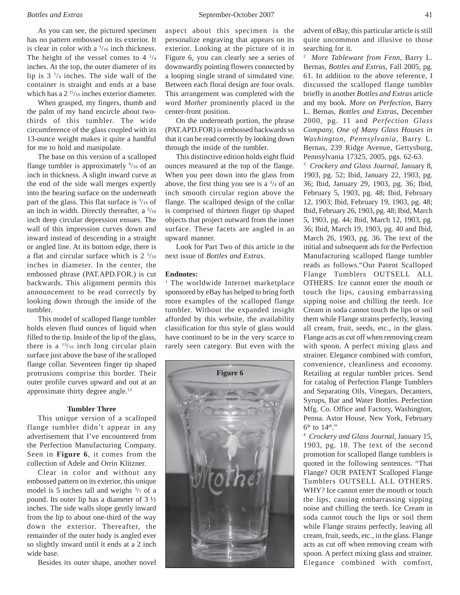As you can see, the pictured specimen has no pattern embossed on its exterior. It is clear in color with a  $\frac{3}{16}$  inch thickness. The height of the vessel comes to  $4\frac{1}{4}$ inches. At the top, the outer diameter of its lip is  $3<sup>1</sup>/4$  inches. The side wall of the container is straight and ends at a base which has a 2<sup>15</sup>/16 inches exterior diameter.

When grasped, my fingers, thumb and the palm of my hand encircle about twothirds of this tumbler. The wide circumference of the glass coupled with its 13-ounce weight makes it quite a handful for me to hold and manipulate.

The base on this version of a scalloped flange tumbler is approximately  $\frac{9}{16}$  of an inch in thickness. A slight inward curve at the end of the side wall merges expertly into the bearing surface on the underneath part of the glass. This flat surface is  $\frac{3}{16}$  of an inch in width. Directly thereafter, a  $\frac{5}{16}$ inch deep circular depression ensues. The wall of this impression curves down and inward instead of descending in a straight or angled line. At its bottom edge, there is a flat and circular surface which is  $2 \frac{5}{16}$ inches in diameter. In the center, the embossed phrase (PAT.APD.FOR.) is cut backwards. This alignment permits this announcement to be read correctly by looking down through the inside of the tumbler.

This model of scalloped flange tumbler holds eleven fluid ounces of liquid when filled to the tip. Inside of the lip of the glass, there is a  $\frac{13}{16}$  inch long circular plain surface just above the base of the scalloped flange collar. Seventeen finger tip shaped protrusions comprise this border. Their outer profile curves upward and out at an approximate thirty degree angle.13

### **Tumbler Three**

This unique version of a scalloped flange tumbler didn't appear in any advertisement that I've encountered from the Perfection Manufacturing Company. Seen in **Figure 6**, it comes from the collection of Adele and Orrin Klitzner.

Clear in color and without any embossed pattern on its exterior, this unique model is 5 inches tall and weighs  $\frac{3}{5}$  of a pound. Its outer lip has a diameter of 3 ½ inches. The side walls slope gently inward from the lip to about one-third of the way down the exterior. Thereafter, the remainder of the outer body is angled ever so slightly inward until it ends at a 2 inch wide base.

Besides its outer shape, another novel

aspect about this specimen is the personalize engraving that appears on its exterior. Looking at the picture of it in Figure 6, you can clearly see a series of downwardly pointing flowers connected by a looping single strand of simulated vine. Between each floral design are four ovals. This arrangement was completed with the word *Mother* prominently placed in the center-front position.

On the underneath portion, the phrase (PAT.APD.FOR) is embossed backwards so that it can be read correctly by looking down through the inside of the tumbler.

This distinctive edition holds eight fluid ounces measured at the top of the flange. When you peer down into the glass from above, the first thing you see is a  $\frac{3}{4}$  of an inch smooth circular region above the flange. The scalloped design of the collar is comprised of thirteen finger tip shaped objects that project outward from the inner surface. These facets are angled in an upward manner.

Look for Part Two of this article in the next issue of *Bottles and Extras*.

### **Endnotes:**

<sup>1</sup> The worldwide Internet marketplace sponsored by eBay has helped to bring forth more examples of the scalloped flange tumbler. Without the expanded insight afforded by this website, the availability classification for this style of glass would have continued to be in the very scarce to rarely seen category. But even with the



advent of eBay, this particular article is still quite uncommon and illusive to those searching for it.

2 *More Tableware from Fenn*, Barry L. Bernas, *Bottles and Extras*, Fall 2005, pg. 61. In addition to the above reference, I discussed the scalloped flange tumbler briefly in another *Bottles and Extras* article and my book. *More on Perfection*, Barry L. Bernas, *Bottles and Extras*, December 2000, pg. 11 and *Perfection Glass Company, One of Many Glass Houses in Washington, Pennsylvania*, Barry L. Bernas, 239 Ridge Avenue, Gettysburg, Pennsylvania 17325, 2005, pgs. 62-63.

3 *Crockery and Glass Journal*, January 8, 1903, pg. 52; Ibid, January 22, 1903, pg. 36; Ibid, January 29, 1903, pg. 36; Ibid, February 5, 1903, pg. 48; Ibid, February 12, 1903; Ibid, February 19, 1903, pg. 48; Ibid, February 26, 1903, pg. 48; Ibid, March 5, 1903, pg. 44; Ibid, March 12, 1903, pg. 36; Ibid, March 19, 1903, pg. 40 and Ibid, March 26, 1903, pg. 36. The text of the initial and subsequent ads for the Perfection Manufacturing scalloped flange tumbler reads as follows."Our Patent Scalloped Flange Tumblers OUTSELL ALL OTHERS. Ice cannot enter the mouth or touch the lips, causing embarrassing sipping noise and chilling the teeth. Ice Cream in soda cannot touch the lips or soil them while Flange strains perfectly, leaving all cream, fruit, seeds, etc., in the glass. Flange acts as cut off when removing cream with spoon. A perfect mixing glass and strainer. Elegance combined with comfort, convenience, cleanliness and economy. Retailing at regular tumbler prices. Send for catalog of Perfection Flange Tumblers and Separating Oils, Vinegars, Decanters, Syrups, Bar and Water Bottles. Perfection Mfg. Co. Office and Factory, Washington, Penna. Astor House, New York, February  $6<sup>th</sup>$  to  $14<sup>th</sup>$ ."

4 *Crockery and Glass Journal*, January 15, 1903, pg. 18. The text of the second promotion for scalloped flange tumblers is quoted in the following sentences. "That Flange? OUR PATENT Scalloped Flange Tumblers OUTSELL ALL OTHERS. WHY? Ice cannot enter the mouth or touch the lips, causing embarrassing sipping noise and chilling the teeth. Ice Cream in soda cannot touch the lips or soil them while Flange strains perfectly, leaving all cream, fruit, seeds, etc., in the glass. Flange acts as cut off when removing cream with spoon. A perfect mixing glass and strainer. Elegance combined with comfort,